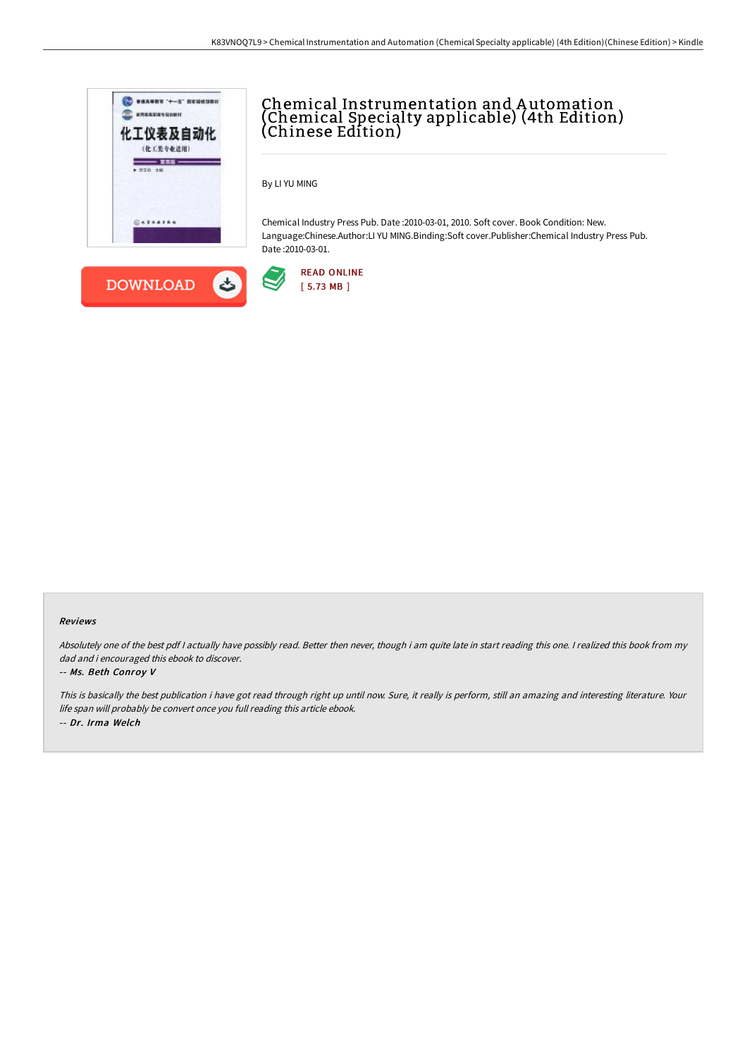



## Chemical Instrumentation and A utomation (Chemical Specialty applicable) (4th Edition) (Chinese Edition)

By LI YU MING

Chemical Industry Press Pub. Date :2010-03-01, 2010. Soft cover. Book Condition: New. Language:Chinese.Author:LI YU MING.Binding:Soft cover.Publisher:Chemical Industry Press Pub. Date :2010-03-01.



## Reviews

Absolutely one of the best pdf I actually have possibly read. Better then never, though i am quite late in start reading this one. I realized this book from my dad and i encouraged this ebook to discover.

## -- Ms. Beth Conroy V

This is basically the best publication i have got read through right up until now. Sure, it really is perform, still an amazing and interesting literature. Your life span will probably be convert once you full reading this article ebook. -- Dr. Irma Welch